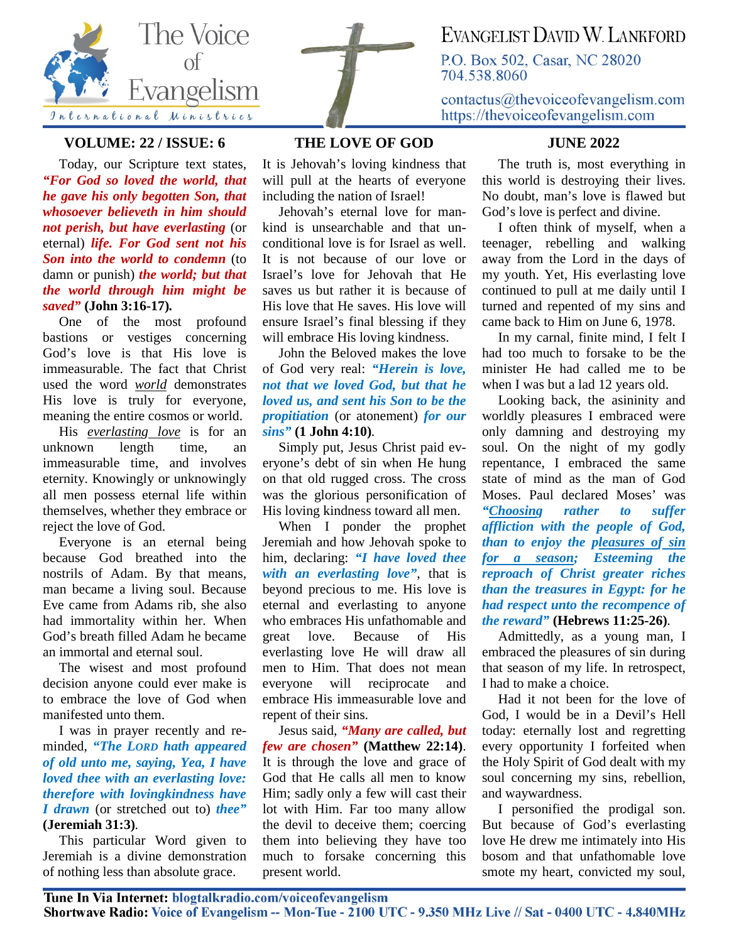

## **VOLUME: 22 / ISSUE: 6**

Today, our Scripture text states, *"For God so loved the world, that he gave his only begotten Son, that whosoever believeth in him should not perish, but have everlasting* (or eternal) *life. For God sent not his Son into the world to condemn* (to damn or punish) *the world; but that the world through him might be saved"* **(John 3:16-17)***.*

One of the most profound bastions or vestiges concerning God's love is that His love is immeasurable. The fact that Christ used the word *world* demonstrates His love is truly for everyone, meaning the entire cosmos or world.

His *everlasting love* is for an unknown length time, an immeasurable time, and involves eternity. Knowingly or unknowingly all men possess eternal life within themselves, whether they embrace or reject the love of God.

Everyone is an eternal being because God breathed into the nostrils of Adam. By that means, man became a living soul. Because Eve came from Adams rib, she also had immortality within her. When God's breath filled Adam he became an immortal and eternal soul.

The wisest and most profound decision anyone could ever make is to embrace the love of God when manifested unto them.

I was in prayer recently and reminded, *"The LORD hath appeared of old unto me, saying, Yea, I have loved thee with an everlasting love: therefore with lovingkindness have I drawn* (or stretched out to) *thee"* **(Jeremiah 31:3)***.*

This particular Word given to Jeremiah is a divine demonstration of nothing less than absolute grace.



It is Jehovah's loving kindness that will pull at the hearts of everyone including the nation of Israel!

Jehovah's eternal love for mankind is unsearchable and that unconditional love is for Israel as well. It is not because of our love or Israel's love for Jehovah that He saves us but rather it is because of His love that He saves. His love will ensure Israel's final blessing if they will embrace His loving kindness.

John the Beloved makes the love of God very real: *"Herein is love, not that we loved God, but that he loved us, and sent his Son to be the propitiation* (or atonement) *for our sins"* **(1 John 4:10)***.*

Simply put, Jesus Christ paid everyone's debt of sin when He hung on that old rugged cross. The cross was the glorious personification of His loving kindness toward all men.

When I ponder the prophet Jeremiah and how Jehovah spoke to him, declaring: *"I have loved thee with an everlasting love"*, that is beyond precious to me. His love is eternal and everlasting to anyone who embraces His unfathomable and great love. Because of His everlasting love He will draw all men to Him. That does not mean everyone will reciprocate and embrace His immeasurable love and repent of their sins.

Jesus said, *"Many are called, but few are chosen"* **(Matthew 22:14)**. It is through the love and grace of God that He calls all men to know Him; sadly only a few will cast their lot with Him. Far too many allow the devil to deceive them; coercing them into believing they have too much to forsake concerning this present world.

## EVANGELIST DAVID W LANKFORD

P.O. Box 502, Casar, NC 28020 704.538.8060

 $contactus@the voice of evangelism.com$ https://thevoiceofevangelism.com

## **JUNE 2022**

The truth is, most everything in this world is destroying their lives. No doubt, man's love is flawed but God's love is perfect and divine.

I often think of myself, when a teenager, rebelling and walking away from the Lord in the days of my youth. Yet, His everlasting love continued to pull at me daily until I turned and repented of my sins and came back to Him on June 6, 1978.

In my carnal, finite mind, I felt I had too much to forsake to be the minister He had called me to be when I was but a lad 12 years old.

Looking back, the asininity and worldly pleasures I embraced were only damning and destroying my soul. On the night of my godly repentance, I embraced the same state of mind as the man of God Moses. Paul declared Moses' was *"Choosing rather to suffer affliction with the people of God, than to enjoy the pleasures of sin for a season; Esteeming the reproach of Christ greater riches than the treasures in Egypt: for he had respect unto the recompence of the reward"* **(Hebrews 11:25-26)***.*

Admittedly, as a young man, I embraced the pleasures of sin during that season of my life. In retrospect, I had to make a choice.

Had it not been for the love of God, I would be in a Devil's Hell today: eternally lost and regretting every opportunity I forfeited when the Holy Spirit of God dealt with my soul concerning my sins, rebellion, and waywardness.

I personified the prodigal son. But because of God's everlasting love He drew me intimately into His bosom and that unfathomable love smote my heart, convicted my soul,